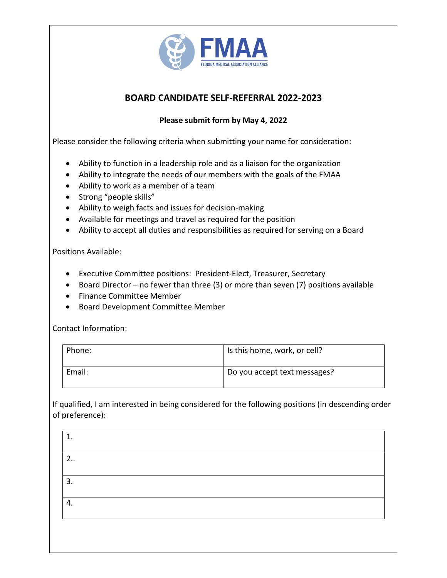

# **BOARD CANDIDATE SELF-REFERRAL 2022-2023**

# **Please submit form by May 4, 2022**

Please consider the following criteria when submitting your name for consideration:

- Ability to function in a leadership role and as a liaison for the organization
- Ability to integrate the needs of our members with the goals of the FMAA
- Ability to work as a member of a team
- Strong "people skills"
- Ability to weigh facts and issues for decision-making
- Available for meetings and travel as required for the position
- Ability to accept all duties and responsibilities as required for serving on a Board

#### Positions Available:

- Executive Committee positions: President-Elect, Treasurer, Secretary
- Board Director no fewer than three (3) or more than seven (7) positions available
- Finance Committee Member
- Board Development Committee Member

Contact Information:

| Phone: | Is this home, work, or cell? |
|--------|------------------------------|
| Email: | Do you accept text messages? |

If qualified, I am interested in being considered for the following positions (in descending order of preference):

| 1. |  |  |
|----|--|--|
| 2  |  |  |
| 3. |  |  |
| 4. |  |  |
|    |  |  |